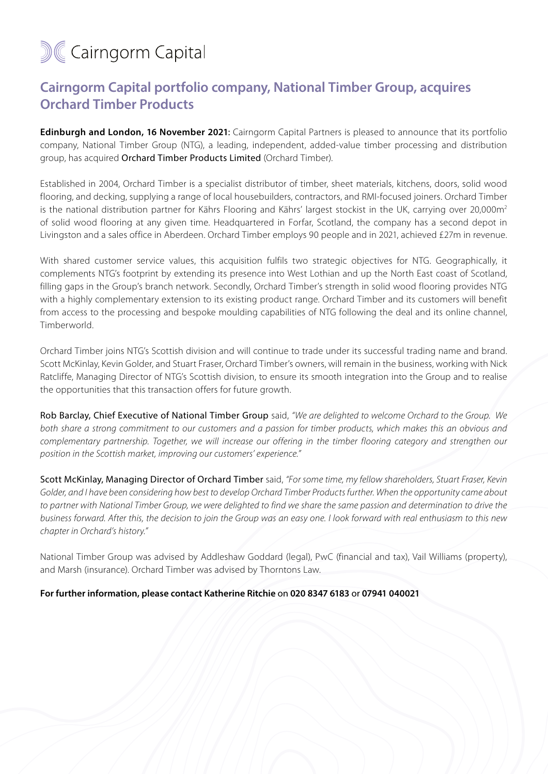## **M&Cairngorm Capital**

## **Cairngorm Capital portfolio company, National Timber Group, acquires Orchard Timber Products**

**Edinburgh and London, 16 November 2021:** Cairngorm Capital Partners is pleased to announce that its portfolio company, National Timber Group (NTG), a leading, independent, added-value timber processing and distribution group, has acquired Orchard Timber Products Limited (Orchard Timber).

Established in 2004, Orchard Timber is a specialist distributor of timber, sheet materials, kitchens, doors, solid wood flooring, and decking, supplying a range of local housebuilders, contractors, and RMI-focused joiners. Orchard Timber is the national distribution partner for Kährs Flooring and Kährs' largest stockist in the UK, carrying over 20,000m<sup>2</sup> of solid wood flooring at any given time. Headquartered in Forfar, Scotland, the company has a second depot in Livingston and a sales office in Aberdeen. Orchard Timber employs 90 people and in 2021, achieved £27m in revenue.

With shared customer service values, this acquisition fulfils two strategic objectives for NTG. Geographically, it complements NTG's footprint by extending its presence into West Lothian and up the North East coast of Scotland, filling gaps in the Group's branch network. Secondly, Orchard Timber's strength in solid wood flooring provides NTG with a highly complementary extension to its existing product range. Orchard Timber and its customers will benefit from access to the processing and bespoke moulding capabilities of NTG following the deal and its online channel, Timberworld.

Orchard Timber joins NTG's Scottish division and will continue to trade under its successful trading name and brand. Scott McKinlay, Kevin Golder, and Stuart Fraser, Orchard Timber's owners, will remain in the business, working with Nick Ratcliffe, Managing Director of NTG's Scottish division, to ensure its smooth integration into the Group and to realise the opportunities that this transaction offers for future growth.

Rob Barclay, Chief Executive of National Timber Group said, *"We are delighted to welcome Orchard to the Group. We both share a strong commitment to our customers and a passion for timber products, which makes this an obvious and complementary partnership. Together, we will increase our offering in the timber flooring category and strengthen our position in the Scottish market, improving our customers' experience."*

Scott McKinlay, Managing Director of Orchard Timber said, *"For some time, my fellow shareholders, Stuart Fraser, Kevin Golder, and I have been considering how best to develop Orchard Timber Products further. When the opportunity came about to partner with National Timber Group, we were delighted to find we share the same passion and determination to drive the business forward. After this, the decision to join the Group was an easy one. I look forward with real enthusiasm to this new chapter in Orchard's history."*

National Timber Group was advised by Addleshaw Goddard (legal), PwC (financial and tax), Vail Williams (property), and Marsh (insurance). Orchard Timber was advised by Thorntons Law.

## **For further information, please contact Katherine Ritchie** on **020 8347 6183** or **07941 040021**